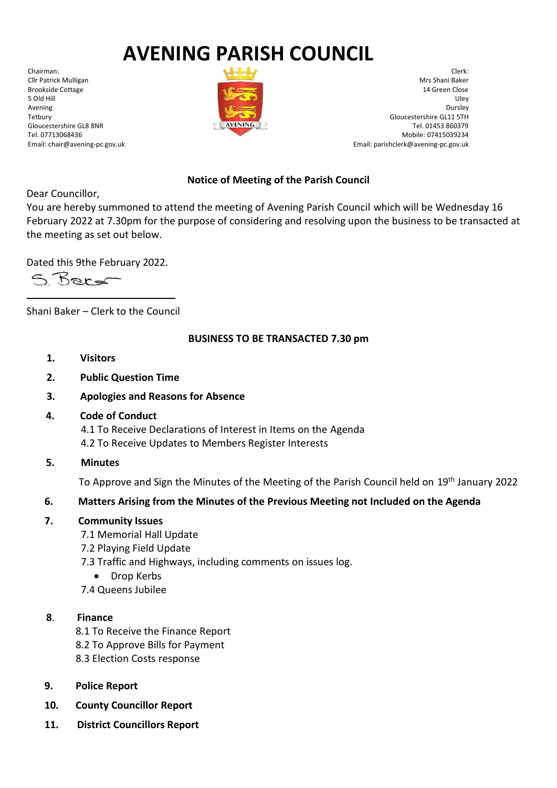# **AVENING PARISH COUNCIL**

Chairman: Cllr Patrick Mulligan Brookside Cottage 5 Old Hill Avening Tetbury Gloucestershire GL8 8NR Tel. 07713068436 Email: chair@avening-pc.gov.uk



Clerk: Mrs Shani Baker 14 Green Close Uley Dursley Gloucestershire GL11 5TH Tel. 01453 860379 Mobile: 07415039234 Email: parishclerk@avening-pc.gov.uk

## **Notice of Meeting of the Parish Council**

Dear Councillor,

You are hereby summoned to attend the meeting of Avening Parish Council which will be Wednesday 16 February 2022 at 7.30pm for the purpose of considering and resolving upon the business to be transacted at the meeting as set out below.

Dated this 9the February 2022.

S Berg

Shani Baker – Clerk to the Council

## **BUSINESS TO BE TRANSACTED 7.30 pm**

- **1. Visitors**
- **2. Public Question Time**
- **3. Apologies and Reasons for Absence**
- **4. Code of Conduct**

 4.1 To Receive Declarations of Interest in Items on the Agenda 4.2 To Receive Updates to Members Register Interests

**5. Minutes**

To Approve and Sign the Minutes of the Meeting of the Parish Council held on 19<sup>th</sup> January 2022

## **6. Matters Arising from the Minutes of the Previous Meeting not Included on the Agenda**

- **7. Community Issues**
	- 7.1 Memorial Hall Update
	- 7.2 Playing Field Update
	- 7.3 Traffic and Highways, including comments on issues log.
		- Drop Kerbs
	- 7.4 Queens Jubilee

#### **8**. **Finance**

- 8.1 To Receive the Finance Report
- 8.2 To Approve Bills for Payment
- 8.3 Election Costs response
- **9. Police Report**
- **10. County Councillor Report**
- **11. District Councillors Report**